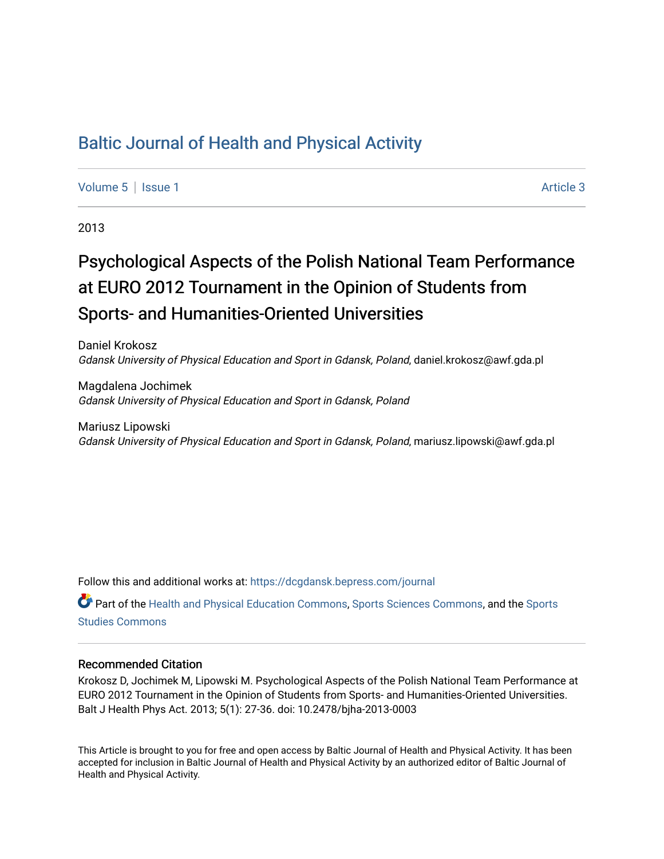# [Baltic Journal of Health and Physical Activity](https://dcgdansk.bepress.com/journal)

[Volume 5](https://dcgdansk.bepress.com/journal/vol5) | [Issue 1](https://dcgdansk.bepress.com/journal/vol5/iss1) Article 3

2013

# Psychological Aspects of the Polish National Team Performance at EURO 2012 Tournament in the Opinion of Students from Sports- and Humanities-Oriented Universities

Daniel Krokosz Gdansk University of Physical Education and Sport in Gdansk, Poland, daniel.krokosz@awf.gda.pl

Magdalena Jochimek Gdansk University of Physical Education and Sport in Gdansk, Poland

Mariusz Lipowski Gdansk University of Physical Education and Sport in Gdansk, Poland, mariusz.lipowski@awf.gda.pl

Follow this and additional works at: [https://dcgdansk.bepress.com/journal](https://dcgdansk.bepress.com/journal?utm_source=dcgdansk.bepress.com%2Fjournal%2Fvol5%2Fiss1%2F3&utm_medium=PDF&utm_campaign=PDFCoverPages)

Part of the [Health and Physical Education Commons](http://network.bepress.com/hgg/discipline/1327?utm_source=dcgdansk.bepress.com%2Fjournal%2Fvol5%2Fiss1%2F3&utm_medium=PDF&utm_campaign=PDFCoverPages), [Sports Sciences Commons](http://network.bepress.com/hgg/discipline/759?utm_source=dcgdansk.bepress.com%2Fjournal%2Fvol5%2Fiss1%2F3&utm_medium=PDF&utm_campaign=PDFCoverPages), and the [Sports](http://network.bepress.com/hgg/discipline/1198?utm_source=dcgdansk.bepress.com%2Fjournal%2Fvol5%2Fiss1%2F3&utm_medium=PDF&utm_campaign=PDFCoverPages)  [Studies Commons](http://network.bepress.com/hgg/discipline/1198?utm_source=dcgdansk.bepress.com%2Fjournal%2Fvol5%2Fiss1%2F3&utm_medium=PDF&utm_campaign=PDFCoverPages) 

#### Recommended Citation

Krokosz D, Jochimek M, Lipowski M. Psychological Aspects of the Polish National Team Performance at EURO 2012 Tournament in the Opinion of Students from Sports- and Humanities-Oriented Universities. Balt J Health Phys Act. 2013; 5(1): 27-36. doi: 10.2478/bjha-2013-0003

This Article is brought to you for free and open access by Baltic Journal of Health and Physical Activity. It has been accepted for inclusion in Baltic Journal of Health and Physical Activity by an authorized editor of Baltic Journal of Health and Physical Activity.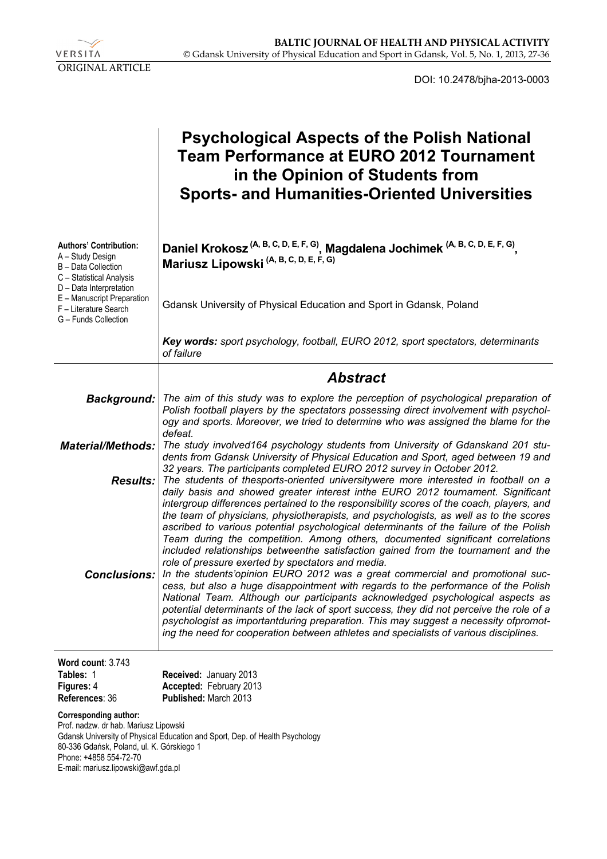

DOI: 10.2478/bjha-2013-0003

|                                                                                                                                 | <b>Psychological Aspects of the Polish National</b><br><b>Team Performance at EURO 2012 Tournament</b><br>in the Opinion of Students from<br><b>Sports- and Humanities-Oriented Universities</b>                                                                                                                                                                                                                                                                                                                                                                                                                                                                                                                                                                                                                                                                                                                                                                                                                                            |  |  |  |  |  |  |
|---------------------------------------------------------------------------------------------------------------------------------|---------------------------------------------------------------------------------------------------------------------------------------------------------------------------------------------------------------------------------------------------------------------------------------------------------------------------------------------------------------------------------------------------------------------------------------------------------------------------------------------------------------------------------------------------------------------------------------------------------------------------------------------------------------------------------------------------------------------------------------------------------------------------------------------------------------------------------------------------------------------------------------------------------------------------------------------------------------------------------------------------------------------------------------------|--|--|--|--|--|--|
| <b>Authors' Contribution:</b><br>A - Study Design<br>B - Data Collection<br>C - Statistical Analysis<br>D - Data Interpretation | Daniel Krokosz <sup>(A, B, C, D, E, F, G)</sup> , Magdalena Jochimek <sup>(A, B, C, D, E, F, G)</sup> , Mariusz Lipowski <sup>(A, B, C, D, E, F, G)</sup>                                                                                                                                                                                                                                                                                                                                                                                                                                                                                                                                                                                                                                                                                                                                                                                                                                                                                   |  |  |  |  |  |  |
| E - Manuscript Preparation<br>F - Literature Search<br>G - Funds Collection                                                     | Gdansk University of Physical Education and Sport in Gdansk, Poland                                                                                                                                                                                                                                                                                                                                                                                                                                                                                                                                                                                                                                                                                                                                                                                                                                                                                                                                                                         |  |  |  |  |  |  |
|                                                                                                                                 | Key words: sport psychology, football, EURO 2012, sport spectators, determinants<br>of failure                                                                                                                                                                                                                                                                                                                                                                                                                                                                                                                                                                                                                                                                                                                                                                                                                                                                                                                                              |  |  |  |  |  |  |
|                                                                                                                                 | <b>Abstract</b>                                                                                                                                                                                                                                                                                                                                                                                                                                                                                                                                                                                                                                                                                                                                                                                                                                                                                                                                                                                                                             |  |  |  |  |  |  |
|                                                                                                                                 | Background:   The aim of this study was to explore the perception of psychological preparation of<br>Polish football players by the spectators possessing direct involvement with psychol-<br>ogy and sports. Moreover, we tried to determine who was assigned the blame for the<br>defeat.                                                                                                                                                                                                                                                                                                                                                                                                                                                                                                                                                                                                                                                                                                                                                 |  |  |  |  |  |  |
|                                                                                                                                 | <b>Material/Methods:</b> The study involved164 psychology students from University of Gdanskand 201 stu-<br>dents from Gdansk University of Physical Education and Sport, aged between 19 and                                                                                                                                                                                                                                                                                                                                                                                                                                                                                                                                                                                                                                                                                                                                                                                                                                               |  |  |  |  |  |  |
|                                                                                                                                 | 32 years. The participants completed EURO 2012 survey in October 2012.<br><b>Results:</b> The students of thesports-oriented universitywere more interested in football on a<br>daily basis and showed greater interest inthe EURO 2012 tournament. Significant                                                                                                                                                                                                                                                                                                                                                                                                                                                                                                                                                                                                                                                                                                                                                                             |  |  |  |  |  |  |
| <b>Conclusions:</b>                                                                                                             | intergroup differences pertained to the responsibility scores of the coach, players, and<br>the team of physicians, physiotherapists, and psychologists, as well as to the scores<br>ascribed to various potential psychological determinants of the failure of the Polish<br>Team during the competition. Among others, documented significant correlations<br>included relationships betweenthe satisfaction gained from the tournament and the<br>role of pressure exerted by spectators and media.<br>In the students'opinion EURO 2012 was a great commercial and promotional suc-<br>cess, but also a huge disappointment with regards to the performance of the Polish<br>National Team. Although our participants acknowledged psychological aspects as<br>potential determinants of the lack of sport success, they did not perceive the role of a<br>psychologist as importantduring preparation. This may suggest a necessity ofpromot-<br>ing the need for cooperation between athletes and specialists of various disciplines. |  |  |  |  |  |  |
| Word count: 3.743<br>Tables: 1<br>Figures: 4<br>References: 36                                                                  | Received: January 2013<br>Accepted: February 2013<br>Published: March 2013                                                                                                                                                                                                                                                                                                                                                                                                                                                                                                                                                                                                                                                                                                                                                                                                                                                                                                                                                                  |  |  |  |  |  |  |
| <b>Corresponding author:</b><br>Prof. nadzw. dr hab. Mariusz Lipowski                                                           | Cdanak University of Physical Education and Sport, Dan, of Hoalth Davehology                                                                                                                                                                                                                                                                                                                                                                                                                                                                                                                                                                                                                                                                                                                                                                                                                                                                                                                                                                |  |  |  |  |  |  |

Gdansk University of Physical Education and Sport, Dep. of Health Psychology 80-336 Gdańsk, Poland, ul. K. Górskiego 1 Phone: +4858 554-72-70 E-mail: mariusz.lipowski@awf.gda.pl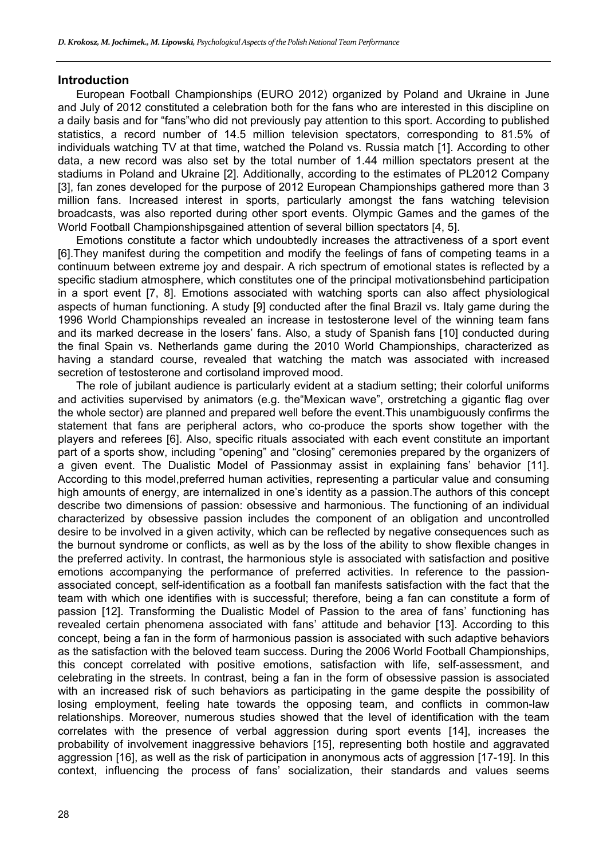#### **Introduction**

European Football Championships (EURO 2012) organized by Poland and Ukraine in June and July of 2012 constituted a celebration both for the fans who are interested in this discipline on a daily basis and for "fans"who did not previously pay attention to this sport. According to published statistics, a record number of 14.5 million television spectators, corresponding to 81.5% of individuals watching TV at that time, watched the Poland vs. Russia match [1]. According to other data, a new record was also set by the total number of 1.44 million spectators present at the stadiums in Poland and Ukraine [2]. Additionally, according to the estimates of PL2012 Company [3], fan zones developed for the purpose of 2012 European Championships gathered more than 3 million fans. Increased interest in sports, particularly amongst the fans watching television broadcasts, was also reported during other sport events. Olympic Games and the games of the World Football Championshipsgained attention of several billion spectators [4, 5].

Emotions constitute a factor which undoubtedly increases the attractiveness of a sport event [6].They manifest during the competition and modify the feelings of fans of competing teams in a continuum between extreme joy and despair. A rich spectrum of emotional states is reflected by a specific stadium atmosphere, which constitutes one of the principal motivationsbehind participation in a sport event [7, 8]. Emotions associated with watching sports can also affect physiological aspects of human functioning. A study [9] conducted after the final Brazil vs. Italy game during the 1996 World Championships revealed an increase in testosterone level of the winning team fans and its marked decrease in the losers' fans. Also, a study of Spanish fans [10] conducted during the final Spain vs. Netherlands game during the 2010 World Championships, characterized as having a standard course, revealed that watching the match was associated with increased secretion of testosterone and cortisoland improved mood.

The role of jubilant audience is particularly evident at a stadium setting; their colorful uniforms and activities supervised by animators (e.g. the"Mexican wave", orstretching a gigantic flag over the whole sector) are planned and prepared well before the event.This unambiguously confirms the statement that fans are peripheral actors, who co-produce the sports show together with the players and referees [6]. Also, specific rituals associated with each event constitute an important part of a sports show, including "opening" and "closing" ceremonies prepared by the organizers of a given event. The Dualistic Model of Passionmay assist in explaining fans' behavior [11]. According to this model,preferred human activities, representing a particular value and consuming high amounts of energy, are internalized in one's identity as a passion.The authors of this concept describe two dimensions of passion: obsessive and harmonious. The functioning of an individual characterized by obsessive passion includes the component of an obligation and uncontrolled desire to be involved in a given activity, which can be reflected by negative consequences such as the burnout syndrome or conflicts, as well as by the loss of the ability to show flexible changes in the preferred activity. In contrast, the harmonious style is associated with satisfaction and positive emotions accompanying the performance of preferred activities. In reference to the passionassociated concept, self-identification as a football fan manifests satisfaction with the fact that the team with which one identifies with is successful; therefore, being a fan can constitute a form of passion [12]. Transforming the Dualistic Model of Passion to the area of fans' functioning has revealed certain phenomena associated with fans' attitude and behavior [13]. According to this concept, being a fan in the form of harmonious passion is associated with such adaptive behaviors as the satisfaction with the beloved team success. During the 2006 World Football Championships, this concept correlated with positive emotions, satisfaction with life, self-assessment, and celebrating in the streets. In contrast, being a fan in the form of obsessive passion is associated with an increased risk of such behaviors as participating in the game despite the possibility of losing employment, feeling hate towards the opposing team, and conflicts in common-law relationships. Moreover, numerous studies showed that the level of identification with the team correlates with the presence of verbal aggression during sport events [14], increases the probability of involvement inaggressive behaviors [15], representing both hostile and aggravated aggression [16], as well as the risk of participation in anonymous acts of aggression [17-19]. In this context, influencing the process of fans' socialization, their standards and values seems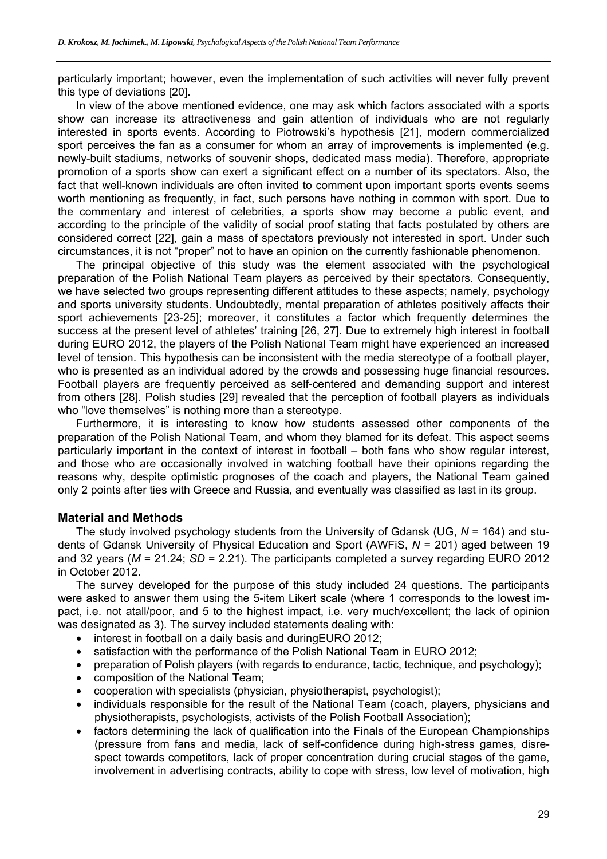particularly important; however, even the implementation of such activities will never fully prevent this type of deviations [20].

In view of the above mentioned evidence, one may ask which factors associated with a sports show can increase its attractiveness and gain attention of individuals who are not regularly interested in sports events. According to Piotrowski's hypothesis [21], modern commercialized sport perceives the fan as a consumer for whom an array of improvements is implemented (e.g. newly-built stadiums, networks of souvenir shops, dedicated mass media). Therefore, appropriate promotion of a sports show can exert a significant effect on a number of its spectators. Also, the fact that well-known individuals are often invited to comment upon important sports events seems worth mentioning as frequently, in fact, such persons have nothing in common with sport. Due to the commentary and interest of celebrities, a sports show may become a public event, and according to the principle of the validity of social proof stating that facts postulated by others are considered correct [22], gain a mass of spectators previously not interested in sport. Under such circumstances, it is not "proper" not to have an opinion on the currently fashionable phenomenon.

The principal objective of this study was the element associated with the psychological preparation of the Polish National Team players as perceived by their spectators. Consequently, we have selected two groups representing different attitudes to these aspects; namely, psychology and sports university students. Undoubtedly, mental preparation of athletes positively affects their sport achievements [23-25]; moreover, it constitutes a factor which frequently determines the success at the present level of athletes' training [26, 27]. Due to extremely high interest in football during EURO 2012, the players of the Polish National Team might have experienced an increased level of tension. This hypothesis can be inconsistent with the media stereotype of a football player, who is presented as an individual adored by the crowds and possessing huge financial resources. Football players are frequently perceived as self-centered and demanding support and interest from others [28]. Polish studies [29] revealed that the perception of football players as individuals who "love themselves" is nothing more than a stereotype.

Furthermore, it is interesting to know how students assessed other components of the preparation of the Polish National Team, and whom they blamed for its defeat. This aspect seems particularly important in the context of interest in football – both fans who show regular interest, and those who are occasionally involved in watching football have their opinions regarding the reasons why, despite optimistic prognoses of the coach and players, the National Team gained only 2 points after ties with Greece and Russia, and eventually was classified as last in its group.

## **Material and Methods**

The study involved psychology students from the University of Gdansk (UG, *N* = 164) and students of Gdansk University of Physical Education and Sport (AWFiS, *N* = 201) aged between 19 and 32 years (*M* = 21.24; *SD* = 2.21). The participants completed a survey regarding EURO 2012 in October 2012.

The survey developed for the purpose of this study included 24 questions. The participants were asked to answer them using the 5-item Likert scale (where 1 corresponds to the lowest impact, i.e. not atall/poor, and 5 to the highest impact, i.e. very much/excellent; the lack of opinion was designated as 3). The survey included statements dealing with:

- interest in football on a daily basis and during EURO 2012:
- satisfaction with the performance of the Polish National Team in EURO 2012;
- preparation of Polish players (with regards to endurance, tactic, technique, and psychology);
- composition of the National Team;
- cooperation with specialists (physician, physiotherapist, psychologist);
- individuals responsible for the result of the National Team (coach, players, physicians and physiotherapists, psychologists, activists of the Polish Football Association);
- factors determining the lack of qualification into the Finals of the European Championships (pressure from fans and media, lack of self-confidence during high-stress games, disrespect towards competitors, lack of proper concentration during crucial stages of the game, involvement in advertising contracts, ability to cope with stress, low level of motivation, high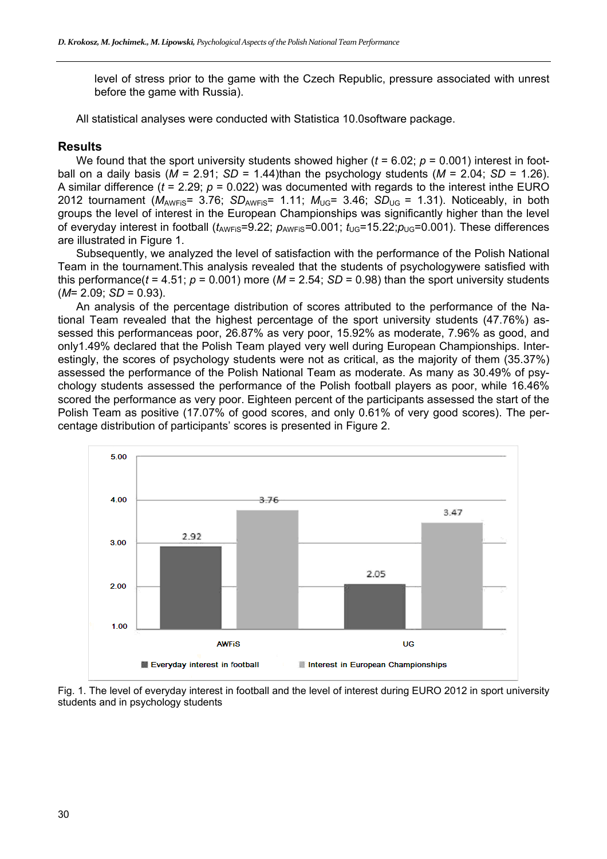level of stress prior to the game with the Czech Republic, pressure associated with unrest before the game with Russia).

All statistical analyses were conducted with Statistica 10.0software package.

#### **Results**

We found that the sport university students showed higher ( $t = 6.02$ ;  $p = 0.001$ ) interest in football on a daily basis ( $M = 2.91$ ;  $SD = 1.44$ )than the psychology students ( $M = 2.04$ ;  $SD = 1.26$ ). A similar difference (*t* = 2.29; *p* = 0.022) was documented with regards to the interest inthe EURO 2012 tournament ( $M_{AWFIS}$ = 3.76; *SD<sub>AWFiS</sub>*= 1.11;  $M_{UG}$ = 3.46; *SD<sub>UG</sub>* = 1.31). Noticeably, in both groups the level of interest in the European Championships was significantly higher than the level of everyday interest in football  $(t_{\text{AWFis}}=9.22; p_{\text{AWFis}}=0.001; t_{\text{UG}}=15.22; p_{\text{UG}}=0.001)$ . These differences are illustrated in Figure 1.

Subsequently, we analyzed the level of satisfaction with the performance of the Polish National Team in the tournament.This analysis revealed that the students of psychologywere satisfied with this performance( $t = 4.51$ ;  $p = 0.001$ ) more ( $M = 2.54$ ;  $SD = 0.98$ ) than the sport university students (*M*= 2.09; *SD* = 0.93).

An analysis of the percentage distribution of scores attributed to the performance of the National Team revealed that the highest percentage of the sport university students (47.76%) assessed this performanceas poor, 26.87% as very poor, 15.92% as moderate, 7.96% as good, and only1.49% declared that the Polish Team played very well during European Championships. Interestingly, the scores of psychology students were not as critical, as the majority of them (35.37%) assessed the performance of the Polish National Team as moderate. As many as 30.49% of psychology students assessed the performance of the Polish football players as poor, while 16.46% scored the performance as very poor. Eighteen percent of the participants assessed the start of the Polish Team as positive (17.07% of good scores, and only 0.61% of very good scores). The percentage distribution of participants' scores is presented in Figure 2.



Fig. 1. The level of everyday interest in football and the level of interest during EURO 2012 in sport university students and in psychology students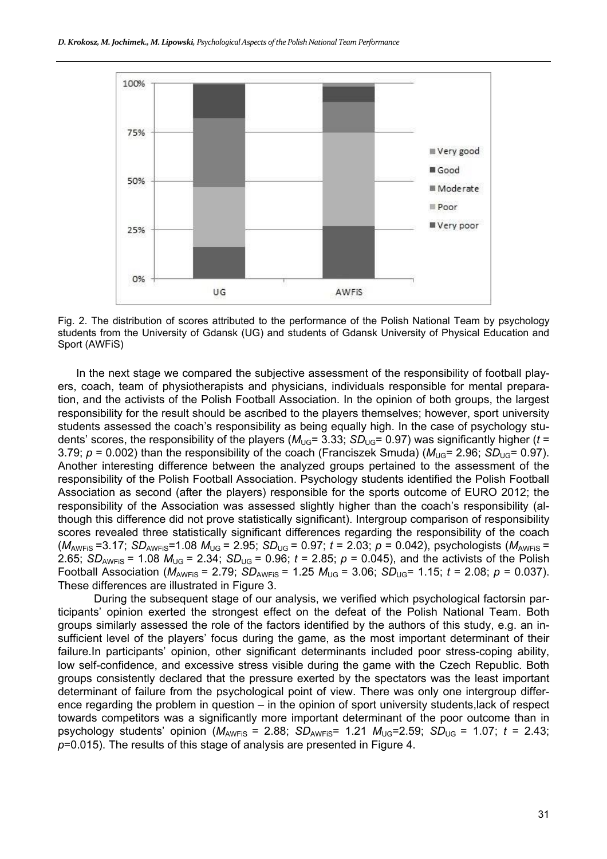

Fig. 2. The distribution of scores attributed to the performance of the Polish National Team by psychology students from the University of Gdansk (UG) and students of Gdansk University of Physical Education and Sport (AWFiS)

In the next stage we compared the subjective assessment of the responsibility of football players, coach, team of physiotherapists and physicians, individuals responsible for mental preparation, and the activists of the Polish Football Association. In the opinion of both groups, the largest responsibility for the result should be ascribed to the players themselves; however, sport university students assessed the coach's responsibility as being equally high. In the case of psychology students' scores, the responsibility of the players ( $M_{\text{UG}}$ = 3.33; *SD*<sub>UG</sub>= 0.97) was significantly higher (*t* = 3.79;  $p = 0.002$ ) than the responsibility of the coach (Franciszek Smuda) ( $M_{\text{UG}} = 2.96$ ;  $SD_{\text{UG}} = 0.97$ ). Another interesting difference between the analyzed groups pertained to the assessment of the responsibility of the Polish Football Association. Psychology students identified the Polish Football Association as second (after the players) responsible for the sports outcome of EURO 2012; the responsibility of the Association was assessed slightly higher than the coach's responsibility (although this difference did not prove statistically significant). Intergroup comparison of responsibility scores revealed three statistically significant differences regarding the responsibility of the coach  $(M_{\text{AWFIS}} = 3.17$ ;  $SD_{\text{AWFIS}} = 1.08$   $M_{\text{UG}} = 2.95$ ;  $SD_{\text{UG}} = 0.97$ ;  $t = 2.03$ ;  $p = 0.042$ ), psychologists ( $M_{\text{AWFIS}} =$ 2.65; *SD*<sub>AWFIS</sub> = 1.08  $M_{\text{UG}}$  = 2.34; *SD*<sub>UG</sub> = 0.96; *t* = 2.85; *p* = 0.045), and the activists of the Polish Football Association ( $M_{AWFIS}$  = 2.79; *SD<sub>AWFiS</sub>* = 1.25  $M_{UG}$  = 3.06; *SD<sub>UG</sub>* = 1.15; *t* = 2.08; *p* = 0.037). These differences are illustrated in Figure 3.

During the subsequent stage of our analysis, we verified which psychological factorsin participants' opinion exerted the strongest effect on the defeat of the Polish National Team. Both groups similarly assessed the role of the factors identified by the authors of this study, e.g. an insufficient level of the players' focus during the game, as the most important determinant of their failure.In participants' opinion, other significant determinants included poor stress-coping ability, low self-confidence, and excessive stress visible during the game with the Czech Republic. Both groups consistently declared that the pressure exerted by the spectators was the least important determinant of failure from the psychological point of view. There was only one intergroup difference regarding the problem in question – in the opinion of sport university students,lack of respect towards competitors was a significantly more important determinant of the poor outcome than in psychology students' opinion  $(M_{AWFIS} = 2.88; SD_{AWFIS} = 1.21 M_{UG} = 2.59; SD_{UG} = 1.07; t = 2.43;$ *p*=0.015). The results of this stage of analysis are presented in Figure 4.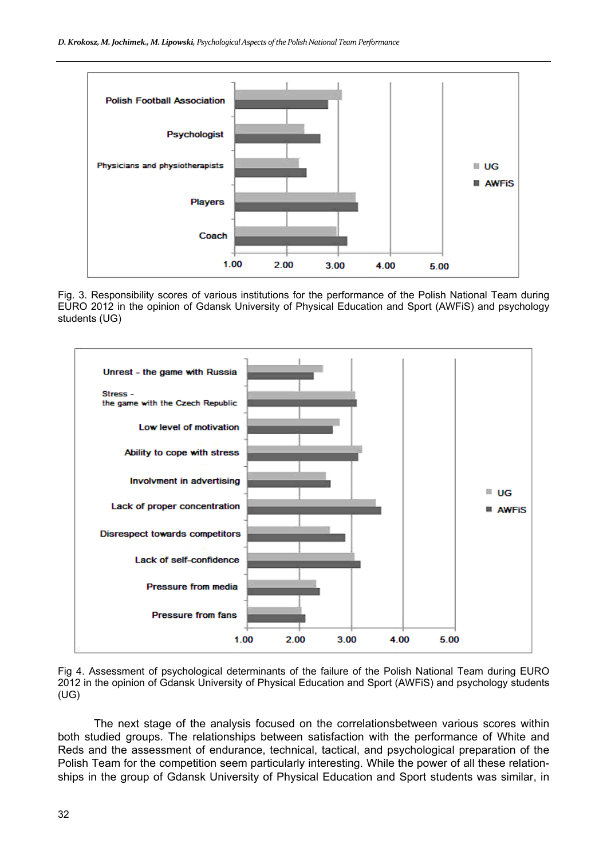

Fig. 3. Responsibility scores of various institutions for the performance of the Polish National Team during EURO 2012 in the opinion of Gdansk University of Physical Education and Sport (AWFiS) and psychology students (UG)



Fig 4. Assessment of psychological determinants of the failure of the Polish National Team during EURO 2012 in the opinion of Gdansk University of Physical Education and Sport (AWFiS) and psychology students (UG)

The next stage of the analysis focused on the correlationsbetween various scores within both studied groups. The relationships between satisfaction with the performance of White and Reds and the assessment of endurance, technical, tactical, and psychological preparation of the Polish Team for the competition seem particularly interesting. While the power of all these relationships in the group of Gdansk University of Physical Education and Sport students was similar, in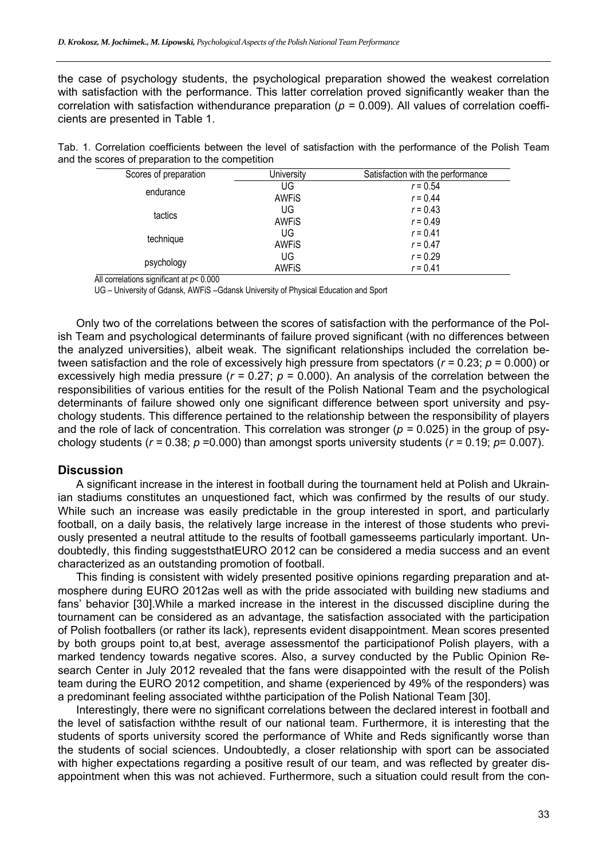the case of psychology students, the psychological preparation showed the weakest correlation with satisfaction with the performance. This latter correlation proved significantly weaker than the correlation with satisfaction withendurance preparation (*p =* 0.009). All values of correlation coefficients are presented in Table 1.

|  |                                                  |  |  |  | Tab. 1. Correlation coefficients between the level of satisfaction with the performance of the Polish Team |  |  |
|--|--------------------------------------------------|--|--|--|------------------------------------------------------------------------------------------------------------|--|--|
|  | and the scores of preparation to the competition |  |  |  |                                                                                                            |  |  |

| Scores of preparation | University   | Satisfaction with the performance |
|-----------------------|--------------|-----------------------------------|
| endurance             | UG           | $r = 0.54$                        |
|                       | <b>AWFIS</b> | $r = 0.44$                        |
| tactics               | UG           | $r = 0.43$                        |
|                       | <b>AWFIS</b> | $r = 0.49$                        |
|                       | UG           | $r = 0.41$                        |
| technique             | <b>AWFIS</b> | $r = 0.47$                        |
|                       | UG           | $r = 0.29$                        |
| psychology            | <b>AWFIS</b> | $r = 0.41$                        |

All correlations significant at *p*< 0.000

UG – University of Gdansk, AWFiS –Gdansk University of Physical Education and Sport

Only two of the correlations between the scores of satisfaction with the performance of the Polish Team and psychological determinants of failure proved significant (with no differences between the analyzed universities), albeit weak. The significant relationships included the correlation between satisfaction and the role of excessively high pressure from spectators (*r =* 0.23; *p* = 0.000) or excessively high media pressure (*r =* 0.27; *p* = 0.000). An analysis of the correlation between the responsibilities of various entities for the result of the Polish National Team and the psychological determinants of failure showed only one significant difference between sport university and psychology students. This difference pertained to the relationship between the responsibility of players and the role of lack of concentration. This correlation was stronger (*p =* 0.025) in the group of psychology students ( $r = 0.38$ ;  $p = 0.000$ ) than amongst sports university students ( $r = 0.19$ ;  $p = 0.007$ ).

#### **Discussion**

A significant increase in the interest in football during the tournament held at Polish and Ukrainian stadiums constitutes an unquestioned fact, which was confirmed by the results of our study. While such an increase was easily predictable in the group interested in sport, and particularly football, on a daily basis, the relatively large increase in the interest of those students who previously presented a neutral attitude to the results of football gamesseems particularly important. Undoubtedly, this finding suggeststhatEURO 2012 can be considered a media success and an event characterized as an outstanding promotion of football.

This finding is consistent with widely presented positive opinions regarding preparation and atmosphere during EURO 2012as well as with the pride associated with building new stadiums and fans' behavior [30].While a marked increase in the interest in the discussed discipline during the tournament can be considered as an advantage, the satisfaction associated with the participation of Polish footballers (or rather its lack), represents evident disappointment. Mean scores presented by both groups point to,at best, average assessmentof the participationof Polish players, with a marked tendency towards negative scores. Also, a survey conducted by the Public Opinion Research Center in July 2012 revealed that the fans were disappointed with the result of the Polish team during the EURO 2012 competition, and shame (experienced by 49% of the responders) was a predominant feeling associated withthe participation of the Polish National Team [30].

Interestingly, there were no significant correlations between the declared interest in football and the level of satisfaction withthe result of our national team. Furthermore, it is interesting that the students of sports university scored the performance of White and Reds significantly worse than the students of social sciences. Undoubtedly, a closer relationship with sport can be associated with higher expectations regarding a positive result of our team, and was reflected by greater disappointment when this was not achieved. Furthermore, such a situation could result from the con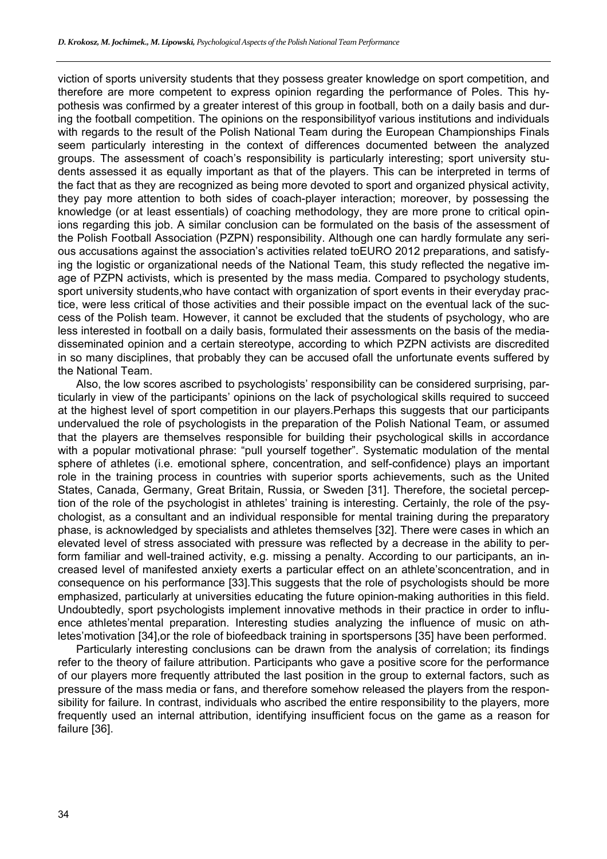viction of sports university students that they possess greater knowledge on sport competition, and therefore are more competent to express opinion regarding the performance of Poles. This hypothesis was confirmed by a greater interest of this group in football, both on a daily basis and during the football competition. The opinions on the responsibilityof various institutions and individuals with regards to the result of the Polish National Team during the European Championships Finals seem particularly interesting in the context of differences documented between the analyzed groups. The assessment of coach's responsibility is particularly interesting; sport university students assessed it as equally important as that of the players. This can be interpreted in terms of the fact that as they are recognized as being more devoted to sport and organized physical activity, they pay more attention to both sides of coach-player interaction; moreover, by possessing the knowledge (or at least essentials) of coaching methodology, they are more prone to critical opinions regarding this job. A similar conclusion can be formulated on the basis of the assessment of the Polish Football Association (PZPN) responsibility. Although one can hardly formulate any serious accusations against the association's activities related toEURO 2012 preparations, and satisfying the logistic or organizational needs of the National Team, this study reflected the negative image of PZPN activists, which is presented by the mass media. Compared to psychology students, sport university students,who have contact with organization of sport events in their everyday practice, were less critical of those activities and their possible impact on the eventual lack of the success of the Polish team. However, it cannot be excluded that the students of psychology, who are less interested in football on a daily basis, formulated their assessments on the basis of the mediadisseminated opinion and a certain stereotype, according to which PZPN activists are discredited in so many disciplines, that probably they can be accused ofall the unfortunate events suffered by the National Team.

Also, the low scores ascribed to psychologists' responsibility can be considered surprising, particularly in view of the participants' opinions on the lack of psychological skills required to succeed at the highest level of sport competition in our players.Perhaps this suggests that our participants undervalued the role of psychologists in the preparation of the Polish National Team, or assumed that the players are themselves responsible for building their psychological skills in accordance with a popular motivational phrase: "pull yourself together". Systematic modulation of the mental sphere of athletes (i.e. emotional sphere, concentration, and self-confidence) plays an important role in the training process in countries with superior sports achievements, such as the United States, Canada, Germany, Great Britain, Russia, or Sweden [31]. Therefore, the societal perception of the role of the psychologist in athletes' training is interesting. Certainly, the role of the psychologist, as a consultant and an individual responsible for mental training during the preparatory phase, is acknowledged by specialists and athletes themselves [32]. There were cases in which an elevated level of stress associated with pressure was reflected by a decrease in the ability to perform familiar and well-trained activity, e.g. missing a penalty. According to our participants, an increased level of manifested anxiety exerts a particular effect on an athlete'sconcentration, and in consequence on his performance [33].This suggests that the role of psychologists should be more emphasized, particularly at universities educating the future opinion-making authorities in this field. Undoubtedly, sport psychologists implement innovative methods in their practice in order to influence athletes'mental preparation. Interesting studies analyzing the influence of music on athletes'motivation [34],or the role of biofeedback training in sportspersons [35] have been performed.

Particularly interesting conclusions can be drawn from the analysis of correlation; its findings refer to the theory of failure attribution. Participants who gave a positive score for the performance of our players more frequently attributed the last position in the group to external factors, such as pressure of the mass media or fans, and therefore somehow released the players from the responsibility for failure. In contrast, individuals who ascribed the entire responsibility to the players, more frequently used an internal attribution, identifying insufficient focus on the game as a reason for failure [36].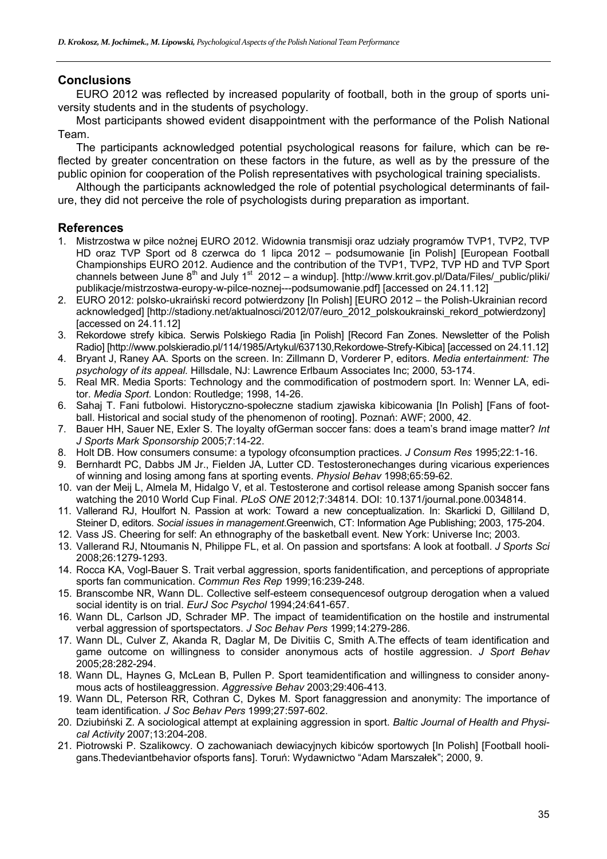# **Conclusions**

EURO 2012 was reflected by increased popularity of football, both in the group of sports university students and in the students of psychology.

Most participants showed evident disappointment with the performance of the Polish National Team.

The participants acknowledged potential psychological reasons for failure, which can be reflected by greater concentration on these factors in the future, as well as by the pressure of the public opinion for cooperation of the Polish representatives with psychological training specialists.

Although the participants acknowledged the role of potential psychological determinants of failure, they did not perceive the role of psychologists during preparation as important.

## **References**

- 1. Mistrzostwa w piłce nożnej EURO 2012. Widownia transmisji oraz udziały programów TVP1, TVP2, TVP HD oraz TVP Sport od 8 czerwca do 1 lipca 2012 – podsumowanie [in Polish] [European Football Championships EURO 2012. Audience and the contribution of the TVP1, TVP2, TVP HD and TVP Sport channels between June  $8<sup>th</sup>$  and July 1<sup>st</sup> 2012 – a windup]. [http://www.krrit.gov.pl/Data/Files/\_public/pliki/ publikacje/mistrzostwa-europy-w-pilce-noznej---podsumowanie.pdf] [accessed on 24.11.12]
- 2. EURO 2012: polsko-ukraiński record potwierdzony [In Polish] [EURO 2012 the Polish-Ukrainian record acknowledged] [http://stadiony.net/aktualnosci/2012/07/euro\_2012\_polskoukrainski\_rekord\_potwierdzony] [accessed on 24.11.12]
- 3. Rekordowe strefy kibica. Serwis Polskiego Radia [in Polish] [Record Fan Zones. Newsletter of the Polish Radio] [http://www.polskieradio.pl/114/1985/Artykul/637130,Rekordowe-Strefy-Kibica] [accessed on 24.11.12]
- 4. Bryant J, Raney AA. Sports on the screen. In: Zillmann D, Vorderer P, editors. *Media entertainment: The psychology of its appeal.* Hillsdale, NJ: Lawrence Erlbaum Associates Inc; 2000, 53-174.
- 5. Real MR. Media Sports: Technology and the commodification of postmodern sport. In: Wenner LA, editor. *Media Sport.* London: Routledge; 1998, 14-26.
- 6. Sahaj T. Fani futbolowi. Historyczno-społeczne stadium zjawiska kibicowania [In Polish] [Fans of football. Historical and social study of the phenomenon of rooting]. Poznań: AWF; 2000, 42.
- 7. Bauer HH, Sauer NE, Exler S. The loyalty ofGerman soccer fans: does a team's brand image matter? *Int J Sports Mark Sponsorship* 2005;7:14-22.
- 8. Holt DB. How consumers consume: a typology ofconsumption practices. *J Consum Res* 1995;22:1-16.
- 9. Bernhardt PC, Dabbs JM Jr., Fielden JA, Lutter CD. Testosteronechanges during vicarious experiences of winning and losing among fans at sporting events. *Physiol Behav* 1998;65:59-62.
- 10. van der Meij L, Almela M, Hidalgo V, et al. Testosterone and cortisol release among Spanish soccer fans watching the 2010 World Cup Final. *PLoS ONE* 2012;7:34814. DOI: 10.1371/journal.pone.0034814.
- 11. Vallerand RJ, Houlfort N. Passion at work: Toward a new conceptualization. In: Skarlicki D, Gilliland D, Steiner D, editors. *Social issues in management*.Greenwich, CT: Information Age Publishing; 2003, 175-204.
- 12. Vass JS. Cheering for self: An ethnography of the basketball event. New York: Universe Inc; 2003.
- 13. Vallerand RJ, Ntoumanis N, Philippe FL, et al. On passion and sportsfans: A look at football. *J Sports Sci* 2008;26:1279-1293.
- 14. Rocca KA, Vogl-Bauer S. Trait verbal aggression, sports fanidentification, and perceptions of appropriate sports fan communication. *Commun Res Rep* 1999;16:239-248.
- 15. Branscombe NR, Wann DL. Collective self-esteem consequencesof outgroup derogation when a valued social identity is on trial. *EurJ Soc Psychol* 1994;24:641-657.
- 16. Wann DL, Carlson JD, Schrader MP. The impact of teamidentification on the hostile and instrumental verbal aggression of sportspectators. *J Soc Behav Pers* 1999;14:279-286.
- 17. Wann DL, Culver Z, Akanda R, Daglar M, De Divitiis C, Smith A.The effects of team identification and game outcome on willingness to consider anonymous acts of hostile aggression. *J Sport Behav* 2005;28:282-294.
- 18. Wann DL, Haynes G, McLean B, Pullen P. Sport teamidentification and willingness to consider anonymous acts of hostileaggression. *Aggressive Behav* 2003;29:406-413.
- 19. Wann DL, Peterson RR, Cothran C, Dykes M. Sport fanaggression and anonymity: The importance of team identification. *J Soc Behav Pers* 1999;27:597-602.
- 20. Dziubiński Z. A sociological attempt at explaining aggression in sport. *Baltic Journal of Health and Physical Activity* 2007;13:204-208.
- 21. Piotrowski P. Szalikowcy. O zachowaniach dewiacyjnych kibiców sportowych [In Polish] [Football hooligans.Thedeviantbehavior ofsports fans]. Toruń: Wydawnictwo "Adam Marszałek"; 2000, 9.